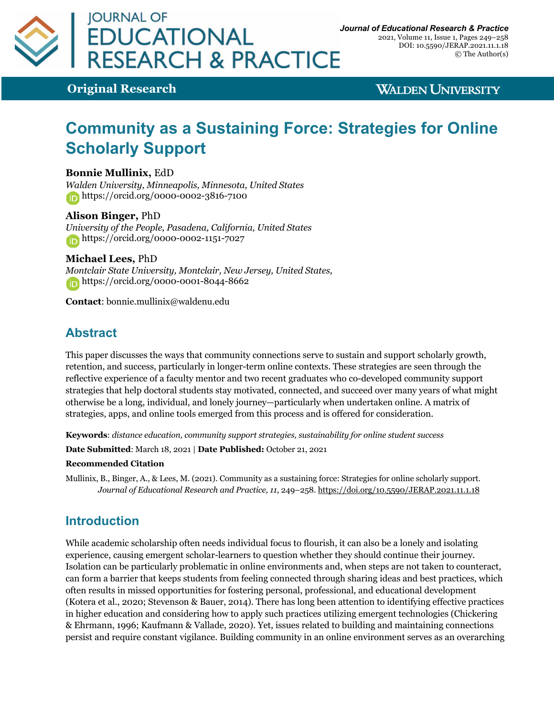

**Original Research**

**WALDEN UNIVERSITY** 

# **Community as a Sustaining Force: Strategies for Online Scholarly Support**

**Bonnie Mullinix,** EdD

*Walden University, Minneapolis, Minnesota, United States* https://orcid.org/0000-0002-3816-7100

#### **Alison Binger,** PhD

*University of the People, Pasadena, California, United States* https://orcid.org/0000-0002-1151-7027

#### **Michael Lees,** PhD

*Montclair State University, Montclair, New Jersey, United States,* https://orcid.org/0000-0001-8044-8662

**Contact**: bonnie.mullinix@waldenu.edu

## **Abstract**

This paper discusses the ways that community connections serve to sustain and support scholarly growth, retention, and success, particularly in longer-term online contexts. These strategies are seen through the reflective experience of a faculty mentor and two recent graduates who co-developed community support strategies that help doctoral students stay motivated, connected, and succeed over many years of what might otherwise be a long, individual, and lonely journey—particularly when undertaken online. A matrix of strategies, apps, and online tools emerged from this process and is offered for consideration.

**Keywords**: *distance education, community support strategies, sustainability for online student success*

**Date Submitted**: March 18, 2021 | **Date Published:** October 21, 2021

#### **Recommended Citation**

Mullinix, B., Binger, A., & Lees, M. (2021). Community as a sustaining force: Strategies for online scholarly support. *Journal of Educational Research and Practice, 11*, 249–258. https://doi.org/10.5590/JERAP.2021.11.1.18

## **Introduction**

While academic scholarship often needs individual focus to flourish, it can also be a lonely and isolating experience, causing emergent scholar-learners to question whether they should continue their journey. Isolation can be particularly problematic in online environments and, when steps are not taken to counteract, can form a barrier that keeps students from feeling connected through sharing ideas and best practices, which often results in missed opportunities for fostering personal, professional, and educational development (Kotera et al., 2020; Stevenson & Bauer, 2014). There has long been attention to identifying effective practices in higher education and considering how to apply such practices utilizing emergent technologies (Chickering & Ehrmann, 1996; Kaufmann & Vallade, 2020). Yet, issues related to building and maintaining connections persist and require constant vigilance. Building community in an online environment serves as an overarching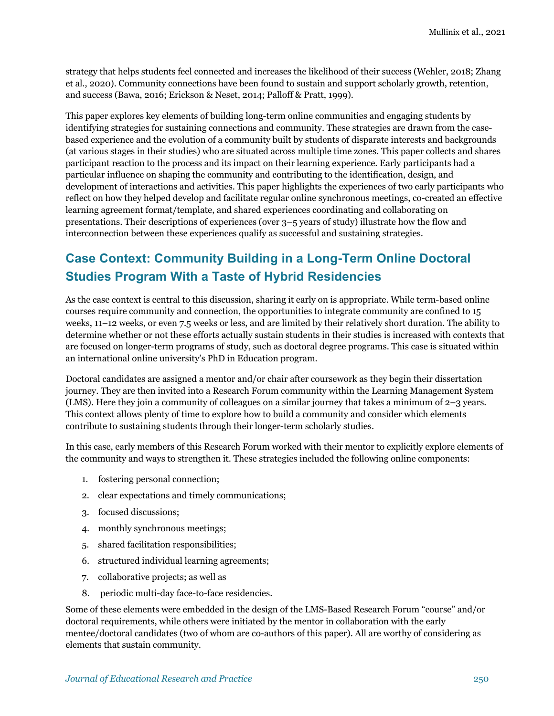strategy that helps students feel connected and increases the likelihood of their success (Wehler, 2018; Zhang et al., 2020). Community connections have been found to sustain and support scholarly growth, retention, and success (Bawa, 2016; Erickson & Neset, 2014; Palloff & Pratt, 1999).

This paper explores key elements of building long-term online communities and engaging students by identifying strategies for sustaining connections and community. These strategies are drawn from the casebased experience and the evolution of a community built by students of disparate interests and backgrounds (at various stages in their studies) who are situated across multiple time zones. This paper collects and shares participant reaction to the process and its impact on their learning experience. Early participants had a particular influence on shaping the community and contributing to the identification, design, and development of interactions and activities. This paper highlights the experiences of two early participants who reflect on how they helped develop and facilitate regular online synchronous meetings, co-created an effective learning agreement format/template, and shared experiences coordinating and collaborating on presentations. Their descriptions of experiences (over 3–5 years of study) illustrate how the flow and interconnection between these experiences qualify as successful and sustaining strategies.

## **Case Context: Community Building in a Long-Term Online Doctoral Studies Program With a Taste of Hybrid Residencies**

As the case context is central to this discussion, sharing it early on is appropriate. While term-based online courses require community and connection, the opportunities to integrate community are confined to 15 weeks, 11–12 weeks, or even 7.5 weeks or less, and are limited by their relatively short duration. The ability to determine whether or not these efforts actually sustain students in their studies is increased with contexts that are focused on longer-term programs of study, such as doctoral degree programs. This case is situated within an international online university's PhD in Education program.

Doctoral candidates are assigned a mentor and/or chair after coursework as they begin their dissertation journey. They are then invited into a Research Forum community within the Learning Management System (LMS). Here they join a community of colleagues on a similar journey that takes a minimum of 2–3 years. This context allows plenty of time to explore how to build a community and consider which elements contribute to sustaining students through their longer-term scholarly studies.

In this case, early members of this Research Forum worked with their mentor to explicitly explore elements of the community and ways to strengthen it. These strategies included the following online components:

- 1. fostering personal connection;
- 2. clear expectations and timely communications;
- 3. focused discussions;
- 4. monthly synchronous meetings;
- 5. shared facilitation responsibilities;
- 6. structured individual learning agreements;
- 7. collaborative projects; as well as
- 8. periodic multi-day face-to-face residencies.

Some of these elements were embedded in the design of the LMS-Based Research Forum "course" and/or doctoral requirements, while others were initiated by the mentor in collaboration with the early mentee/doctoral candidates (two of whom are co-authors of this paper). All are worthy of considering as elements that sustain community.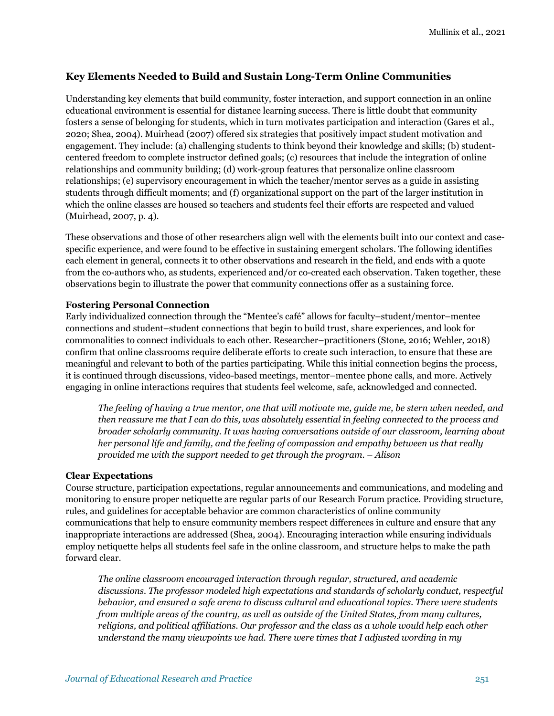#### **Key Elements Needed to Build and Sustain Long-Term Online Communities**

Understanding key elements that build community, foster interaction, and support connection in an online educational environment is essential for distance learning success. There is little doubt that community fosters a sense of belonging for students, which in turn motivates participation and interaction (Gares et al., 2020; Shea, 2004). Muirhead (2007) offered six strategies that positively impact student motivation and engagement. They include: (a) challenging students to think beyond their knowledge and skills; (b) studentcentered freedom to complete instructor defined goals; (c) resources that include the integration of online relationships and community building; (d) work-group features that personalize online classroom relationships; (e) supervisory encouragement in which the teacher/mentor serves as a guide in assisting students through difficult moments; and (f) organizational support on the part of the larger institution in which the online classes are housed so teachers and students feel their efforts are respected and valued (Muirhead, 2007, p. 4).

These observations and those of other researchers align well with the elements built into our context and casespecific experience, and were found to be effective in sustaining emergent scholars. The following identifies each element in general, connects it to other observations and research in the field, and ends with a quote from the co-authors who, as students, experienced and/or co-created each observation. Taken together, these observations begin to illustrate the power that community connections offer as a sustaining force.

#### **Fostering Personal Connection**

Early individualized connection through the "Mentee's café" allows for faculty–student/mentor–mentee connections and student–student connections that begin to build trust, share experiences, and look for commonalities to connect individuals to each other. Researcher–practitioners (Stone, 2016; Wehler, 2018) confirm that online classrooms require deliberate efforts to create such interaction, to ensure that these are meaningful and relevant to both of the parties participating. While this initial connection begins the process, it is continued through discussions, video-based meetings, mentor–mentee phone calls, and more. Actively engaging in online interactions requires that students feel welcome, safe, acknowledged and connected.

*The feeling of having a true mentor, one that will motivate me, guide me, be stern when needed, and then reassure me that I can do this, was absolutely essential in feeling connected to the process and broader scholarly community. It was having conversations outside of our classroom, learning about her personal life and family, and the feeling of compassion and empathy between us that really provided me with the support needed to get through the program*. – *Alison*

#### **Clear Expectations**

Course structure, participation expectations, regular announcements and communications, and modeling and monitoring to ensure proper netiquette are regular parts of our Research Forum practice. Providing structure, rules, and guidelines for acceptable behavior are common characteristics of online community communications that help to ensure community members respect differences in culture and ensure that any inappropriate interactions are addressed (Shea, 2004). Encouraging interaction while ensuring individuals employ netiquette helps all students feel safe in the online classroom, and structure helps to make the path forward clear.

*The online classroom encouraged interaction through regular, structured, and academic discussions. The professor modeled high expectations and standards of scholarly conduct, respectful behavior, and ensured a safe arena to discuss cultural and educational topics. There were students from multiple areas of the country, as well as outside of the United States, from many cultures, religions, and political affiliations. Our professor and the class as a whole would help each other understand the many viewpoints we had. There were times that I adjusted wording in my*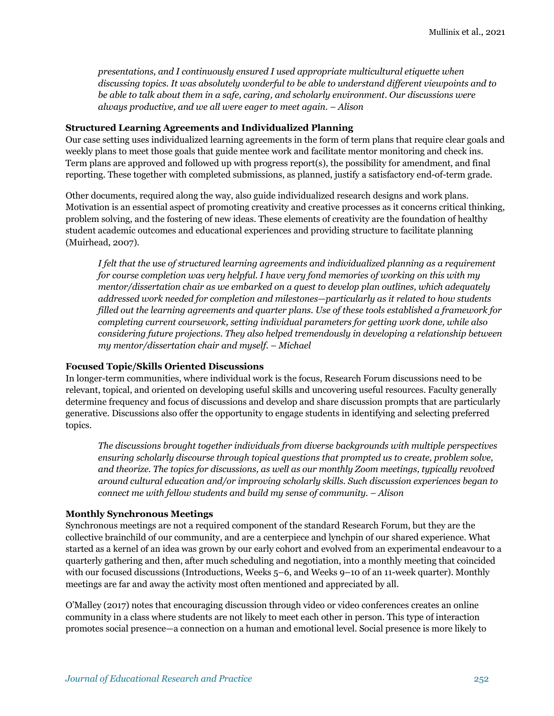*presentations, and I continuously ensured I used appropriate multicultural etiquette when discussing topics. It was absolutely wonderful to be able to understand different viewpoints and to be able to talk about them in a safe, caring, and scholarly environment. Our discussions were always productive, and we all were eager to meet again. – Alison*

#### **Structured Learning Agreements and Individualized Planning**

Our case setting uses individualized learning agreements in the form of term plans that require clear goals and weekly plans to meet those goals that guide mentee work and facilitate mentor monitoring and check ins. Term plans are approved and followed up with progress report(s), the possibility for amendment, and final reporting. These together with completed submissions, as planned, justify a satisfactory end-of-term grade.

Other documents, required along the way, also guide individualized research designs and work plans. Motivation is an essential aspect of promoting creativity and creative processes as it concerns critical thinking, problem solving, and the fostering of new ideas. These elements of creativity are the foundation of healthy student academic outcomes and educational experiences and providing structure to facilitate planning (Muirhead, 2007).

*I felt that the use of structured learning agreements and individualized planning as a requirement for course completion was very helpful. I have very fond memories of working on this with my mentor/dissertation chair as we embarked on a quest to develop plan outlines, which adequately addressed work needed for completion and milestones—particularly as it related to how students filled out the learning agreements and quarter plans. Use of these tools established a framework for completing current coursework, setting individual parameters for getting work done, while also considering future projections. They also helped tremendously in developing a relationship between my mentor/dissertation chair and myself. – Michael*

#### **Focused Topic/Skills Oriented Discussions**

In longer-term communities, where individual work is the focus, Research Forum discussions need to be relevant, topical, and oriented on developing useful skills and uncovering useful resources. Faculty generally determine frequency and focus of discussions and develop and share discussion prompts that are particularly generative. Discussions also offer the opportunity to engage students in identifying and selecting preferred topics.

*The discussions brought together individuals from diverse backgrounds with multiple perspectives ensuring scholarly discourse through topical questions that prompted us to create, problem solve, and theorize. The topics for discussions, as well as our monthly Zoom meetings, typically revolved around cultural education and/or improving scholarly skills. Such discussion experiences began to connect me with fellow students and build my sense of community. – Alison*

#### **Monthly Synchronous Meetings**

Synchronous meetings are not a required component of the standard Research Forum, but they are the collective brainchild of our community, and are a centerpiece and lynchpin of our shared experience. What started as a kernel of an idea was grown by our early cohort and evolved from an experimental endeavour to a quarterly gathering and then, after much scheduling and negotiation, into a monthly meeting that coincided with our focused discussions (Introductions, Weeks 5–6, and Weeks 9–10 of an 11-week quarter). Monthly meetings are far and away the activity most often mentioned and appreciated by all.

O'Malley (2017) notes that encouraging discussion through video or video conferences creates an online community in a class where students are not likely to meet each other in person. This type of interaction promotes social presence—a connection on a human and emotional level. Social presence is more likely to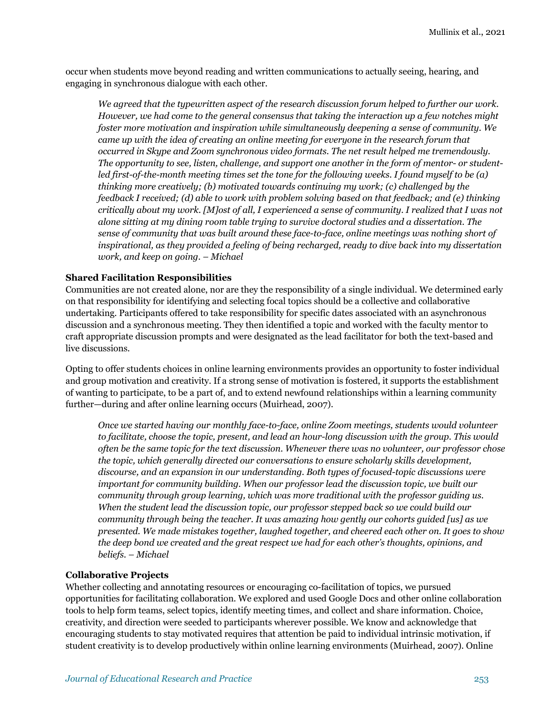occur when students move beyond reading and written communications to actually seeing, hearing, and engaging in synchronous dialogue with each other.

*We agreed that the typewritten aspect of the research discussion forum helped to further our work. However, we had come to the general consensus that taking the interaction up a few notches might foster more motivation and inspiration while simultaneously deepening a sense of community. We came up with the idea of creating an online meeting for everyone in the research forum that occurred in Skype and Zoom synchronous video formats. The net result helped me tremendously. The opportunity to see, listen, challenge, and support one another in the form of mentor- or studentled first-of-the-month meeting times set the tone for the following weeks. I found myself to be (a) thinking more creatively; (b) motivated towards continuing my work; (c) challenged by the feedback I received; (d) able to work with problem solving based on that feedback; and (e) thinking critically about my work. [M]ost of all, I experienced a sense of community. I realized that I was not alone sitting at my dining room table trying to survive doctoral studies and a dissertation. The sense of community that was built around these face-to-face, online meetings was nothing short of inspirational, as they provided a feeling of being recharged, ready to dive back into my dissertation work, and keep on going. – Michael*

#### **Shared Facilitation Responsibilities**

Communities are not created alone, nor are they the responsibility of a single individual. We determined early on that responsibility for identifying and selecting focal topics should be a collective and collaborative undertaking. Participants offered to take responsibility for specific dates associated with an asynchronous discussion and a synchronous meeting. They then identified a topic and worked with the faculty mentor to craft appropriate discussion prompts and were designated as the lead facilitator for both the text-based and live discussions.

Opting to offer students choices in online learning environments provides an opportunity to foster individual and group motivation and creativity. If a strong sense of motivation is fostered, it supports the establishment of wanting to participate, to be a part of, and to extend newfound relationships within a learning community further—during and after online learning occurs (Muirhead, 2007).

*Once we started having our monthly face-to-face, online Zoom meetings, students would volunteer to facilitate, choose the topic, present, and lead an hour-long discussion with the group. This would often be the same topic for the text discussion. Whenever there was no volunteer, our professor chose the topic, which generally directed our conversations to ensure scholarly skills development, discourse, and an expansion in our understanding. Both types of focused-topic discussions were important for community building. When our professor lead the discussion topic, we built our community through group learning, which was more traditional with the professor guiding us. When the student lead the discussion topic, our professor stepped back so we could build our community through being the teacher. It was amazing how gently our cohorts guided [us] as we presented. We made mistakes together, laughed together, and cheered each other on. It goes to show the deep bond we created and the great respect we had for each other's thoughts, opinions, and beliefs*. *– Michael*

#### **Collaborative Projects**

Whether collecting and annotating resources or encouraging co-facilitation of topics, we pursued opportunities for facilitating collaboration. We explored and used Google Docs and other online collaboration tools to help form teams, select topics, identify meeting times, and collect and share information. Choice, creativity, and direction were seeded to participants wherever possible. We know and acknowledge that encouraging students to stay motivated requires that attention be paid to individual intrinsic motivation, if student creativity is to develop productively within online learning environments (Muirhead, 2007). Online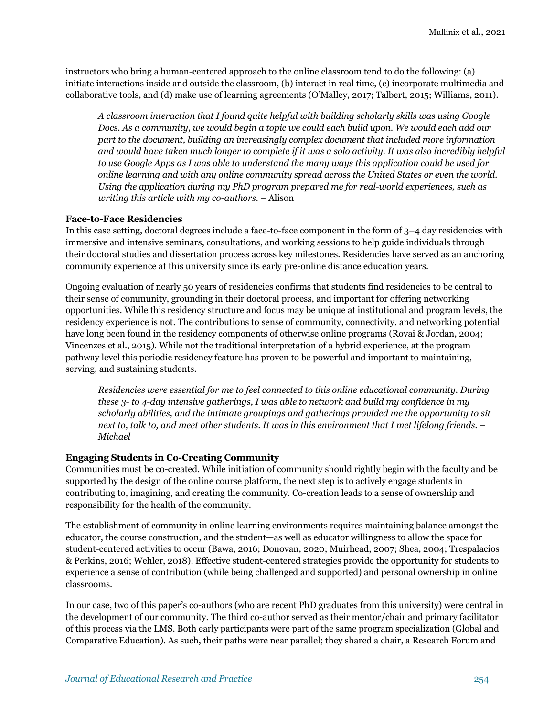instructors who bring a human-centered approach to the online classroom tend to do the following: (a) initiate interactions inside and outside the classroom, (b) interact in real time, (c) incorporate multimedia and collaborative tools, and (d) make use of learning agreements (O'Malley, 2017; Talbert, 2015; Williams, 2011).

*A classroom interaction that I found quite helpful with building scholarly skills was using Google Docs. As a community, we would begin a topic we could each build upon. We would each add our part to the document, building an increasingly complex document that included more information and would have taken much longer to complete if it was a solo activity. It was also incredibly helpful to use Google Apps as I was able to understand the many ways this application could be used for online learning and with any online community spread across the United States or even the world. Using the application during my PhD program prepared me for real-world experiences, such as writing this article with my co-authors. –* Alison

#### **Face-to-Face Residencies**

In this case setting, doctoral degrees include a face-to-face component in the form of 3–4 day residencies with immersive and intensive seminars, consultations, and working sessions to help guide individuals through their doctoral studies and dissertation process across key milestones. Residencies have served as an anchoring community experience at this university since its early pre-online distance education years.

Ongoing evaluation of nearly 50 years of residencies confirms that students find residencies to be central to their sense of community, grounding in their doctoral process, and important for offering networking opportunities. While this residency structure and focus may be unique at institutional and program levels, the residency experience is not. The contributions to sense of community, connectivity, and networking potential have long been found in the residency components of otherwise online programs (Rovai & Jordan, 2004; Vincenzes et al., 2015). While not the traditional interpretation of a hybrid experience, at the program pathway level this periodic residency feature has proven to be powerful and important to maintaining, serving, and sustaining students.

*Residencies were essential for me to feel connected to this online educational community. During these 3- to 4-day intensive gatherings, I was able to network and build my confidence in my scholarly abilities, and the intimate groupings and gatherings provided me the opportunity to sit next to, talk to, and meet other students. It was in this environment that I met lifelong friends. – Michael*

#### **Engaging Students in Co-Creating Community**

Communities must be co-created. While initiation of community should rightly begin with the faculty and be supported by the design of the online course platform, the next step is to actively engage students in contributing to, imagining, and creating the community. Co-creation leads to a sense of ownership and responsibility for the health of the community.

The establishment of community in online learning environments requires maintaining balance amongst the educator, the course construction, and the student—as well as educator willingness to allow the space for student-centered activities to occur (Bawa, 2016; Donovan, 2020; Muirhead, 2007; Shea, 2004; Trespalacios & Perkins, 2016; Wehler, 2018). Effective student-centered strategies provide the opportunity for students to experience a sense of contribution (while being challenged and supported) and personal ownership in online classrooms.

In our case, two of this paper's co-authors (who are recent PhD graduates from this university) were central in the development of our community. The third co-author served as their mentor/chair and primary facilitator of this process via the LMS. Both early participants were part of the same program specialization (Global and Comparative Education). As such, their paths were near parallel; they shared a chair, a Research Forum and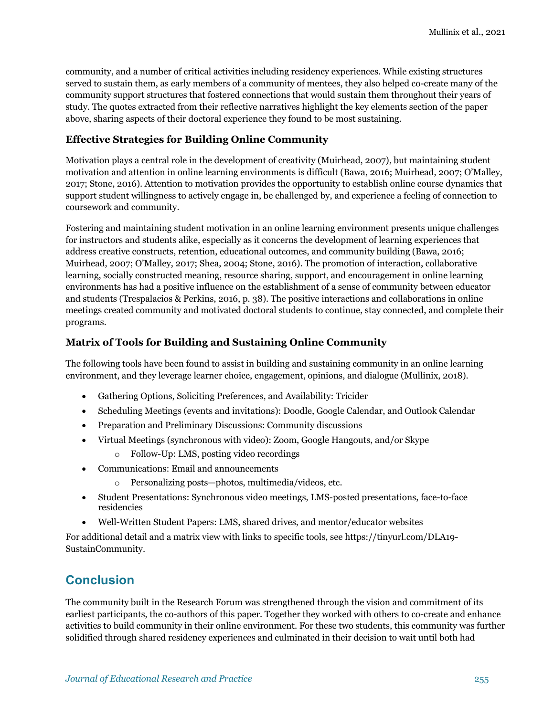community, and a number of critical activities including residency experiences. While existing structures served to sustain them, as early members of a community of mentees, they also helped co-create many of the community support structures that fostered connections that would sustain them throughout their years of study. The quotes extracted from their reflective narratives highlight the key elements section of the paper above, sharing aspects of their doctoral experience they found to be most sustaining.

#### **Effective Strategies for Building Online Community**

Motivation plays a central role in the development of creativity (Muirhead, 2007), but maintaining student motivation and attention in online learning environments is difficult (Bawa, 2016; Muirhead, 2007; O'Malley, 2017; Stone, 2016). Attention to motivation provides the opportunity to establish online course dynamics that support student willingness to actively engage in, be challenged by, and experience a feeling of connection to coursework and community.

Fostering and maintaining student motivation in an online learning environment presents unique challenges for instructors and students alike, especially as it concerns the development of learning experiences that address creative constructs, retention, educational outcomes, and community building (Bawa, 2016; Muirhead, 2007; O'Malley, 2017; Shea, 2004; Stone, 2016). The promotion of interaction, collaborative learning, socially constructed meaning, resource sharing, support, and encouragement in online learning environments has had a positive influence on the establishment of a sense of community between educator and students (Trespalacios & Perkins, 2016, p. 38). The positive interactions and collaborations in online meetings created community and motivated doctoral students to continue, stay connected, and complete their programs.

#### **Matrix of Tools for Building and Sustaining Online Community**

The following tools have been found to assist in building and sustaining community in an online learning environment, and they leverage learner choice, engagement, opinions, and dialogue (Mullinix, 2018).

- Gathering Options, Soliciting Preferences, and Availability: Tricider
- Scheduling Meetings (events and invitations): Doodle, Google Calendar, and Outlook Calendar
- Preparation and Preliminary Discussions: Community discussions
- Virtual Meetings (synchronous with video): Zoom, Google Hangouts, and/or Skype
	- o Follow-Up: LMS, posting video recordings
- Communications: Email and announcements
	- o Personalizing posts—photos, multimedia/videos, etc.
- Student Presentations: Synchronous video meetings, LMS-posted presentations, face-to-face residencies
- Well-Written Student Papers: LMS, shared drives, and mentor/educator websites

For additional detail and a matrix view with links to specific tools, see https://tinyurl.com/DLA19- SustainCommunity.

## **Conclusion**

The community built in the Research Forum was strengthened through the vision and commitment of its earliest participants, the co-authors of this paper. Together they worked with others to co-create and enhance activities to build community in their online environment. For these two students, this community was further solidified through shared residency experiences and culminated in their decision to wait until both had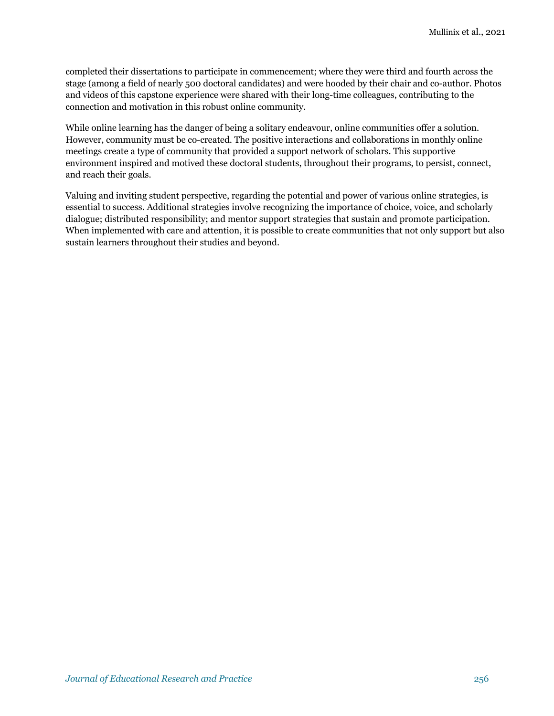completed their dissertations to participate in commencement; where they were third and fourth across the stage (among a field of nearly 500 doctoral candidates) and were hooded by their chair and co-author. Photos and videos of this capstone experience were shared with their long-time colleagues, contributing to the connection and motivation in this robust online community.

While online learning has the danger of being a solitary endeavour, online communities offer a solution. However, community must be co-created. The positive interactions and collaborations in monthly online meetings create a type of community that provided a support network of scholars. This supportive environment inspired and motived these doctoral students, throughout their programs, to persist, connect, and reach their goals.

Valuing and inviting student perspective, regarding the potential and power of various online strategies, is essential to success. Additional strategies involve recognizing the importance of choice, voice, and scholarly dialogue; distributed responsibility; and mentor support strategies that sustain and promote participation. When implemented with care and attention, it is possible to create communities that not only support but also sustain learners throughout their studies and beyond.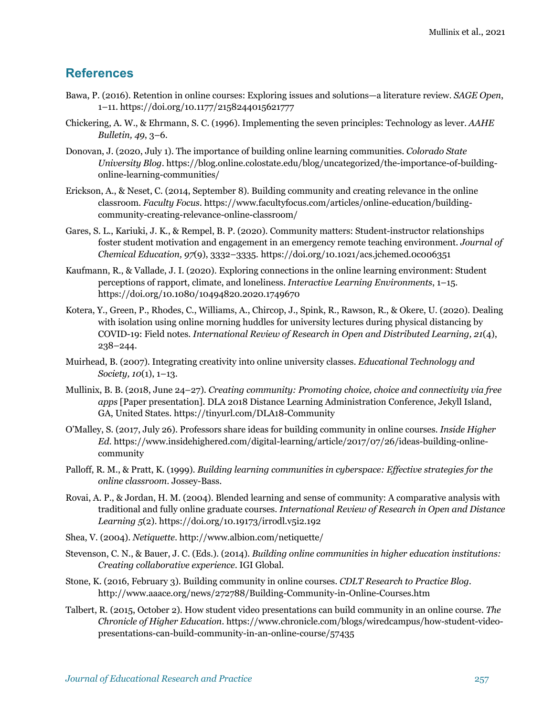### **References**

- Bawa, P. (2016). Retention in online courses: Exploring issues and solutions—a literature review. *SAGE Open*, 1–11. https://doi.org/10.1177/2158244015621777
- Chickering, A. W., & Ehrmann, S. C. (1996). Implementing the seven principles: Technology as lever. *AAHE Bulletin, 49*, 3–6.
- Donovan, J. (2020, July 1). The importance of building online learning communities. *Colorado State University Blog*. https://blog.online.colostate.edu/blog/uncategorized/the-importance-of-buildingonline-learning-communities/
- Erickson, A., & Neset, C. (2014, September 8). Building community and creating relevance in the online classroom. *Faculty Focus*. https://www.facultyfocus.com/articles/online-education/buildingcommunity-creating-relevance-online-classroom/
- Gares, S. L., Kariuki, J. K., & Rempel, B. P. (2020). Community matters: Student-instructor relationships foster student motivation and engagement in an emergency remote teaching environment. *Journal of Chemical Education, 97*(9), 3332–3335. https://doi.org/10.1021/acs.jchemed.0c006351
- Kaufmann, R., & Vallade, J. I. (2020). Exploring connections in the online learning environment: Student perceptions of rapport, climate, and loneliness. *Interactive Learning Environments*, 1–15. https://doi.org/10.1080/10494820.2020.1749670
- Kotera, Y., Green, P., Rhodes, C., Williams, A., Chircop, J., Spink, R., Rawson, R., & Okere, U. (2020). Dealing with isolation using online morning huddles for university lectures during physical distancing by COVID-19: Field notes. *International Review of Research in Open and Distributed Learning, 21*(4), 238–244.
- Muirhead, B. (2007). Integrating creativity into online university classes. *Educational Technology and Society, 10*(1), 1–13.
- Mullinix, B. B. (2018, June 24–27). *Creating community: Promoting choice, choice and connectivity via free apps* [Paper presentation]. DLA 2018 Distance Learning Administration Conference, Jekyll Island, GA, United States. https://tinyurl.com/DLA18-Community
- O'Malley, S. (2017, July 26). Professors share ideas for building community in online courses. *Inside Higher Ed*. https://www.insidehighered.com/digital-learning/article/2017/07/26/ideas-building-onlinecommunity
- Palloff, R. M., & Pratt, K. (1999). *Building learning communities in cyberspace: Effective strategies for the online classroom*. Jossey-Bass.
- Rovai, A. P., & Jordan, H. M. (2004). Blended learning and sense of community: A comparative analysis with traditional and fully online graduate courses. *International Review of Research in Open and Distance Learning 5*(2). https://doi.org/10.19173/irrodl.v5i2.192
- Shea, V. (2004). *Netiquette*. http://www.albion.com/netiquette/
- Stevenson, C. N., & Bauer, J. C. (Eds.). (2014). *Building online communities in higher education institutions: Creating collaborative experience*. IGI Global.
- Stone, K. (2016, February 3). Building community in online courses. *CDLT Research to Practice Blog*. http://www.aaace.org/news/272788/Building-Community-in-Online-Courses.htm
- Talbert, R. (2015, October 2). How student video presentations can build community in an online course. *The Chronicle of Higher Education*. https://www.chronicle.com/blogs/wiredcampus/how-student-videopresentations-can-build-community-in-an-online-course/57435